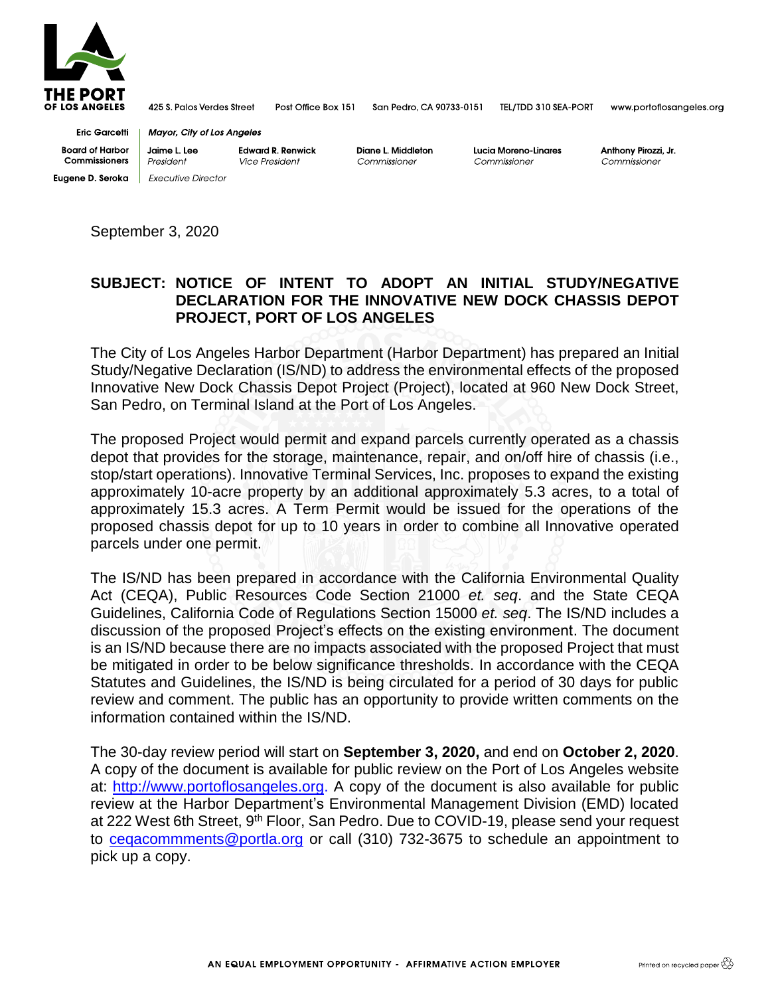

425 S. Palos Verdes Street Post Office Box 151

**Edward R. Renwick** 

San Pedro, CA 90733-0151 TEL/TDD 310 SEA-PORT www.portoflosangeles.org

**Eric Garcetti Board of Harbor Commissioners Eugene D. Seroka**  Executive Director

**Mayor, City of Los Angeles** 

President Vice President **Diane** L **Middleton**  Commissioner

**Lucia Moreno-Unares**  Commissioner

Anthony Pirozzi, Jr. Commissioner

September 3, 2020

**Jaime** L. Lee

## **SUBJECT: NOTICE OF INTENT TO ADOPT AN INITIAL STUDY/NEGATIVE DECLARATION FOR THE INNOVATIVE NEW DOCK CHASSIS DEPOT PROJECT, PORT OF LOS ANGELES**

The City of Los Angeles Harbor Department (Harbor Department) has prepared an Initial Study/Negative Declaration (IS/ND) to address the environmental effects of the proposed Innovative New Dock Chassis Depot Project (Project), located at 960 New Dock Street, San Pedro, on Terminal Island at the Port of Los Angeles.

The proposed Project would permit and expand parcels currently operated as a chassis depot that provides for the storage, maintenance, repair, and on/off hire of chassis (i.e., stop/start operations). Innovative Terminal Services, Inc. proposes to expand the existing approximately 10-acre property by an additional approximately 5.3 acres, to a total of approximately 15.3 acres. A Term Permit would be issued for the operations of the proposed chassis depot for up to 10 years in order to combine all Innovative operated parcels under one permit.

The IS/ND has been prepared in accordance with the California Environmental Quality Act (CEQA), Public Resources Code Section 21000 *et. seq*. and the State CEQA Guidelines, California Code of Regulations Section 15000 *et. seq*. The IS/ND includes a discussion of the proposed Project's effects on the existing environment. The document is an IS/ND because there are no impacts associated with the proposed Project that must be mitigated in order to be below significance thresholds. In accordance with the CEQA Statutes and Guidelines, the IS/ND is being circulated for a period of 30 days for public review and comment. The public has an opportunity to provide written comments on the information contained within the IS/ND.

The 30-day review period will start on **September 3, 2020,** and end on **October 2, 2020**. A copy of the document is available for public review on the Port of Los Angeles website at: [http://www.portoflosangeles.org.](http://www.portoflosangeles.org/) A copy of the document is also available for public review at the Harbor Department's Environmental Management Division (EMD) located at 222 West 6th Street, 9<sup>th</sup> Floor, San Pedro. Due to COVID-19, please send your request to [ceqacommments@portla.org](mailto:ceqacommments@portla.org) or call (310) 732-3675 to schedule an appointment to pick up a copy.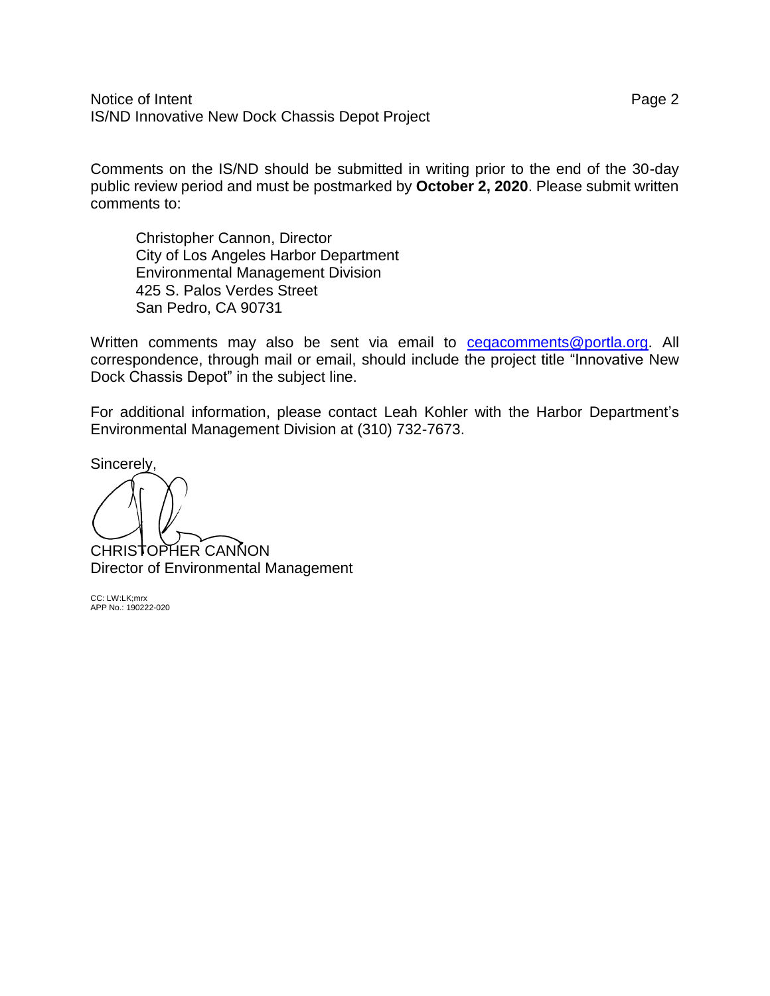Notice of Intent Page 2 IS/ND Innovative New Dock Chassis Depot Project

Comments on the IS/ND should be submitted in writing prior to the end of the 30-day public review period and must be postmarked by **October 2, 2020**. Please submit written comments to:

Christopher Cannon, Director City of Los Angeles Harbor Department Environmental Management Division 425 S. Palos Verdes Street San Pedro, CA 90731

Written comments may also be sent via email to [ceqacomments@portla.org.](mailto:ceqacomments@portla.org) All correspondence, through mail or email, should include the project title "Innovative New Dock Chassis Depot" in the subject line.

For additional information, please contact Leah Kohler with the Harbor Department's Environmental Management Division at (310) 732-7673.

Sincerely,

CHRISTOPHER CANNON Director of Environmental Management

CC: LW:LK;mrx APP No.: 190222-020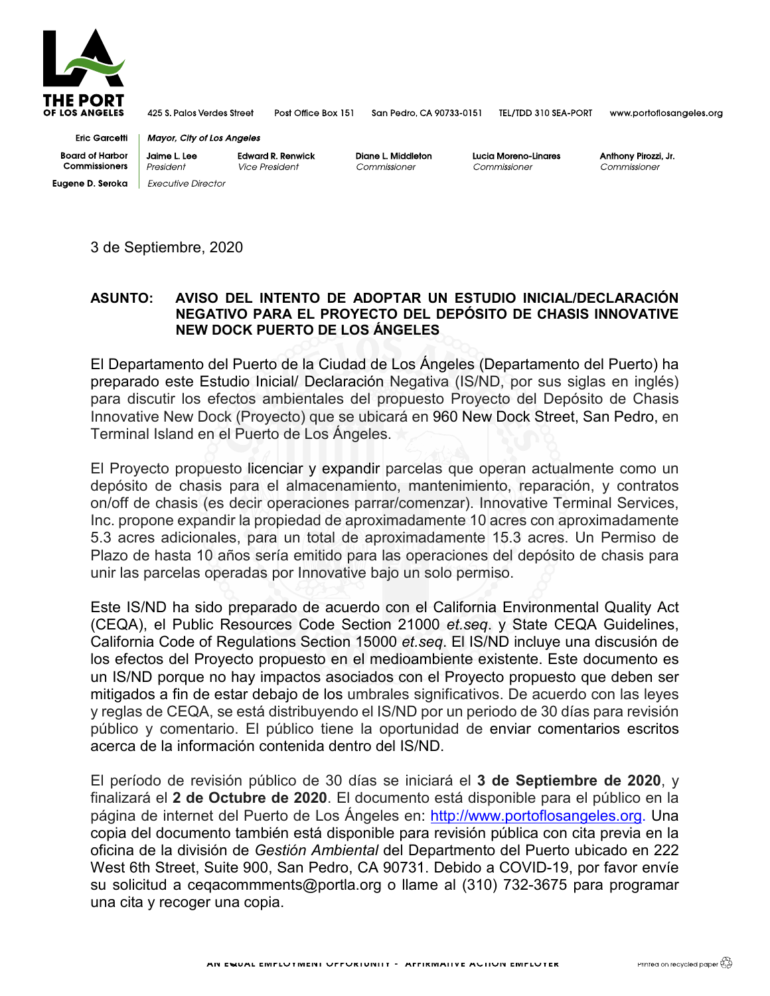

425 S. Palos Verdes Street Post Office Box 151

San Pedro, CA 90733-0151 TEL/TDD 310 SEA-PORT

www.portoflosangeles.org

Eric Garcetti Board of Harbor **Commissioners Eugene D. Seroka** 

**Mayor, City of Los Angeles Jaimel. Lee**  President **Edward R. Renwick**  Vice President

**Executive Director** 

**Diane L Middleton**  Commissioner

**Lucia Moreno-Linares**  Commissioner

**Anthony Pirozzi, Jr.**  Commissioner

3 de Septiembre, 2020

## **ASUNTO: AVISO DEL INTENTO DE ADOPTAR UN ESTUDIO INICIAL/DECLARACIÓN NEGATIVO PARA EL PROYECTO DEL DEPÓSITO DE CHASIS INNOVATIVE NEW DOCK PUERTO DE LOS ÁNGELES**

El Departamento del Puerto de la Ciudad de Los Ángeles (Departamento del Puerto) ha preparado este Estudio Inicial/ Declaración Negativa (IS/ND, por sus siglas en inglés) para discutir los efectos ambientales del propuesto Proyecto del Depósito de Chasis Innovative New Dock (Proyecto) que se ubicará en 960 New Dock Street, San Pedro, en Terminal Island en el Puerto de Los Ángeles.

El Proyecto propuesto licenciar y expandir parcelas que operan actualmente como un depósito de chasis para el almacenamiento, mantenimiento, reparación, y contratos on/off de chasis (es decir operaciones parrar/comenzar). Innovative Terminal Services, Inc. propone expandir la propiedad de aproximadamente 10 acres con aproximadamente 5.3 acres adicionales, para un total de aproximadamente 15.3 acres. Un Permiso de Plazo de hasta 10 años sería emitido para las operaciones del depósito de chasis para unir las parcelas operadas por Innovative bajo un solo permiso.

Este IS/ND ha sido preparado de acuerdo con el California Environmental Quality Act (CEQA), el Public Resources Code Section 21000 *et.seq*. y State CEQA Guidelines, California Code of Regulations Section 15000 *et.seq*. El IS/ND incluye una discusión de los efectos del Proyecto propuesto en el medioambiente existente. Este documento es un IS/ND porque no hay impactos asociados con el Proyecto propuesto que deben ser mitigados a fin de estar debajo de los umbrales significativos. De acuerdo con las leyes y reglas de CEQA, se está distribuyendo el IS/ND por un periodo de 30 días para revisión público y comentario. El público tiene la oportunidad de enviar comentarios escritos acerca de la información contenida dentro del IS/ND.

El período de revisión público de 30 días se iniciará el **3 de Septiembre de 2020**, y finalizará el **2 de Octubre de 2020**. El documento está disponible para el público en la página de internet del Puerto de Los Ángeles en: [http://www.portoflosangeles.org.](http://www.portoflosangeles.org/) Una copia del documento también está disponible para revisión pública con cita previa en la oficina de la división de *Gestión Ambiental* del Departmento del Puerto ubicado en 222 West 6th Street, Suite 900, San Pedro, CA 90731. Debido a COVID-19, por favor envíe su solicitud a ceqacommments@portla.org o llame al (310) 732-3675 para programar una cita y recoger una copia.